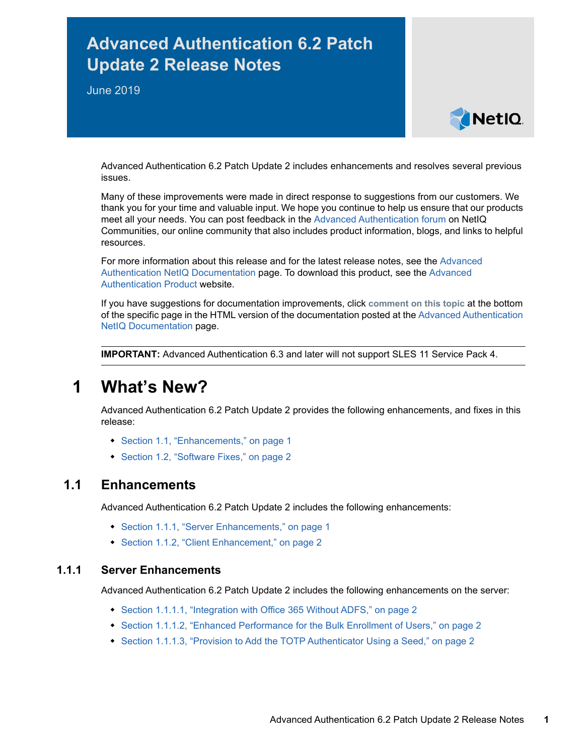# **Advanced Authentication 6.2 Patch Update 2 Release Notes**

June 2019



Advanced Authentication 6.2 Patch Update 2 includes enhancements and resolves several previous issues.

Many of these improvements were made in direct response to suggestions from our customers. We thank you for your time and valuable input. We hope you continue to help us ensure that our products meet all your needs. You can post feedback in the [Advanced Authentication forum](https://forums.novell.com/forumdisplay.php/1374-Advanced-Authentication) on NetIQ Communities, our online community that also includes product information, blogs, and links to helpful resources.

For more information about this release and for the latest release notes, see the [Advanced](https://www.netiq.com/documentation/advanced-authentication-62/)  [Authentication NetIQ Documentation](https://www.netiq.com/documentation/advanced-authentication-62/) page. To download this product, see the [Advanced](https://www.netiq.com/products/advanced-authentication-framework/)  [Authentication Product](https://www.netiq.com/products/advanced-authentication-framework/) website.

If you have suggestions for documentation improvements, click **comment on this topic** at the bottom of the specific page in the HTML version of the documentation posted at the [Advanced Authentication](https://www.netiq.com/documentation/advanced-authentication-62/)  [NetIQ Documentation](https://www.netiq.com/documentation/advanced-authentication-62/) page.

**IMPORTANT:** Advanced Authentication 6.3 and later will not support SLES 11 Service Pack 4.

## **1 What's New?**

Advanced Authentication 6.2 Patch Update 2 provides the following enhancements, and fixes in this release:

- [Section 1.1, "Enhancements," on page 1](#page-0-0)
- [Section 1.2, "Software Fixes," on page 2](#page-1-0)

### <span id="page-0-0"></span>**1.1 Enhancements**

Advanced Authentication 6.2 Patch Update 2 includes the following enhancements:

- [Section 1.1.1, "Server Enhancements," on page 1](#page-0-1)
- [Section 1.1.2, "Client Enhancement," on page 2](#page-1-1)

#### <span id="page-0-1"></span>**1.1.1 Server Enhancements**

Advanced Authentication 6.2 Patch Update 2 includes the following enhancements on the server:

- [Section 1.1.1.1, "Integration with Office 365 Without ADFS," on page 2](#page-1-2)
- [Section 1.1.1.2, "Enhanced Performance for the Bulk Enrollment of Users," on page 2](#page-1-3)
- [Section 1.1.1.3, "Provision to Add the TOTP Authenticator Using a Seed," on page 2](#page-1-4)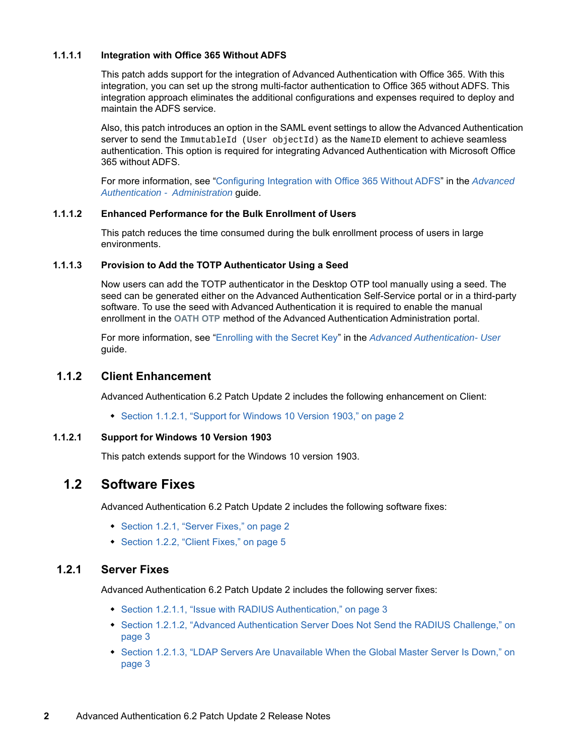#### <span id="page-1-2"></span>**1.1.1.1 Integration with Office 365 Without ADFS**

This patch adds support for the integration of Advanced Authentication with Office 365. With this integration, you can set up the strong multi-factor authentication to Office 365 without ADFS. This integration approach eliminates the additional configurations and expenses required to deploy and maintain the ADFS service.

Also, this patch introduces an option in the SAML event settings to allow the Advanced Authentication server to send the ImmutableId (User objectId) as the NameID element to achieve seamless authentication. This option is required for integrating Advanced Authentication with Microsoft Office 365 without ADFS.

For more information, see ["Configuring Integration with Office 365 Without ADFS"](https://www.netiq.com/documentation/advanced-authentication-62/pdfdoc/server-administrator-guide/server-administrator-guide.pdf#into365withsaml) in the *[Advanced](https://www.netiq.com/documentation/advanced-authentication-62/pdfdoc/server-administrator-guide/server-administrator-guide.pdf#bookinfo)  Authentication - Administration* guide.

#### <span id="page-1-3"></span>**1.1.1.2 Enhanced Performance for the Bulk Enrollment of Users**

This patch reduces the time consumed during the bulk enrollment process of users in large environments.

#### <span id="page-1-4"></span>**1.1.1.3 Provision to Add the TOTP Authenticator Using a Seed**

Now users can add the TOTP authenticator in the Desktop OTP tool manually using a seed. The seed can be generated either on the Advanced Authentication Self-Service portal or in a third-party software. To use the seed with Advanced Authentication it is required to enable the manual enrollment in the **OATH OTP** method of the Advanced Authentication Administration portal.

For more information, see ["Enrolling with the Secret Key](https://www.netiq.com/documentation/advanced-authentication-62/pdfdoc/server-user-guide/server-user-guide.pdf#t49oon78pu40)" in the *[Advanced Authentication- User](https://www.netiq.com/documentation/advanced-authentication-62/pdfdoc/server-user-guide/server-user-guide.pdf#bookinfo)* guide.

#### <span id="page-1-1"></span>**1.1.2 Client Enhancement**

Advanced Authentication 6.2 Patch Update 2 includes the following enhancement on Client:

[Section 1.1.2.1, "Support for Windows 10 Version 1903," on page 2](#page-1-5)

#### <span id="page-1-5"></span>**1.1.2.1 Support for Windows 10 Version 1903**

This patch extends support for the Windows 10 version 1903.

### <span id="page-1-0"></span>**1.2 Software Fixes**

Advanced Authentication 6.2 Patch Update 2 includes the following software fixes:

- ◆ [Section 1.2.1, "Server Fixes," on page 2](#page-1-6)
- ◆ [Section 1.2.2, "Client Fixes," on page 5](#page-4-0)

#### <span id="page-1-6"></span>**1.2.1 Server Fixes**

Advanced Authentication 6.2 Patch Update 2 includes the following server fixes:

- [Section 1.2.1.1, "Issue with RADIUS Authentication," on page 3](#page-2-0)
- [Section 1.2.1.2, "Advanced Authentication Server Does Not Send the RADIUS Challenge," on](#page-2-1)  [page 3](#page-2-1)
- [Section 1.2.1.3, "LDAP Servers Are Unavailable When the Global Master Server Is Down," on](#page-2-2)  [page 3](#page-2-2)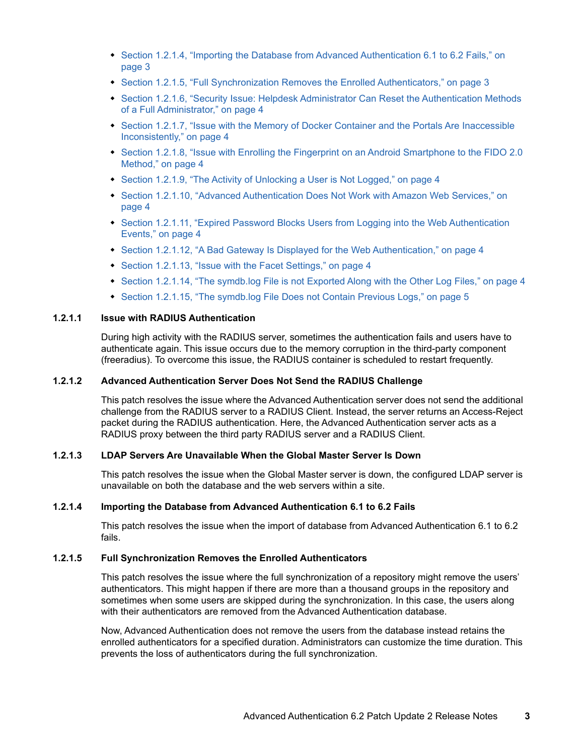- [Section 1.2.1.4, "Importing the Database from Advanced Authentication 6.1 to 6.2 Fails," on](#page-2-3)  [page 3](#page-2-3)
- [Section 1.2.1.5, "Full Synchronization Removes the Enrolled Authenticators," on page 3](#page-2-4)
- Section 1.2.1.6, "Security Issue: Helpdesk Administrator Can Reset the Authentication Methods [of a Full Administrator," on page 4](#page-3-6)
- Section 1.2.1.7, "Issue with the Memory of Docker Container and the Portals Are Inaccessible [Inconsistently," on page 4](#page-3-7)
- [Section 1.2.1.8, "Issue with Enrolling the Fingerprint on an Android Smartphone to the FIDO 2.0](#page-3-8)  [Method," on page 4](#page-3-8)
- [Section 1.2.1.9, "The Activity of Unlocking a User is Not Logged," on page 4](#page-3-0)
- [Section 1.2.1.10, "Advanced Authentication Does Not Work with Amazon Web Services," on](#page-3-1)  [page 4](#page-3-1)
- Section 1.2.1.11, "Expired Password Blocks Users from Logging into the Web Authentication [Events," on page 4](#page-3-2)
- [Section 1.2.1.12, "A Bad Gateway Is Displayed for the Web Authentication," on page 4](#page-3-3)
- [Section 1.2.1.13, "Issue with the Facet Settings," on page 4](#page-3-4)
- [Section 1.2.1.14, "The symdb.log File is not Exported Along with the Other Log Files," on page 4](#page-3-5)
- [Section 1.2.1.15, "The symdb.log File Does not Contain Previous Logs," on page 5](#page-4-1)

#### <span id="page-2-0"></span>**1.2.1.1 Issue with RADIUS Authentication**

During high activity with the RADIUS server, sometimes the authentication fails and users have to authenticate again. This issue occurs due to the memory corruption in the third-party component (freeradius). To overcome this issue, the RADIUS container is scheduled to restart frequently.

#### <span id="page-2-1"></span>**1.2.1.2 Advanced Authentication Server Does Not Send the RADIUS Challenge**

This patch resolves the issue where the Advanced Authentication server does not send the additional challenge from the RADIUS server to a RADIUS Client. Instead, the server returns an Access-Reject packet during the RADIUS authentication. Here, the Advanced Authentication server acts as a RADIUS proxy between the third party RADIUS server and a RADIUS Client.

#### <span id="page-2-2"></span>**1.2.1.3 LDAP Servers Are Unavailable When the Global Master Server Is Down**

This patch resolves the issue when the Global Master server is down, the configured LDAP server is unavailable on both the database and the web servers within a site.

#### <span id="page-2-3"></span>**1.2.1.4 Importing the Database from Advanced Authentication 6.1 to 6.2 Fails**

This patch resolves the issue when the import of database from Advanced Authentication 6.1 to 6.2 fails.

#### <span id="page-2-4"></span>**1.2.1.5 Full Synchronization Removes the Enrolled Authenticators**

This patch resolves the issue where the full synchronization of a repository might remove the users' authenticators. This might happen if there are more than a thousand groups in the repository and sometimes when some users are skipped during the synchronization. In this case, the users along with their authenticators are removed from the Advanced Authentication database.

Now, Advanced Authentication does not remove the users from the database instead retains the enrolled authenticators for a specified duration. Administrators can customize the time duration. This prevents the loss of authenticators during the full synchronization.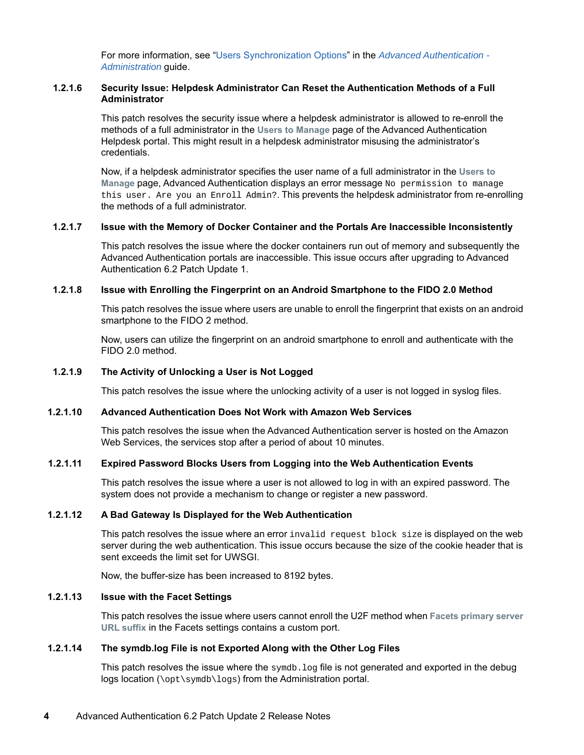For more information, see ["Users Synchronization Options"](https://www.netiq.com/documentation/advanced-authentication-62/pdfdoc/server-administrator-guide/server-administrator-guide.pdf#t49nj66wo55y) in the *[Advanced Authentication -](https://www.netiq.com/documentation/advanced-authentication-62/pdfdoc/tenant-administrator-guide/tenant-administrator-guide.pdf#bookinfo)  Administration* guide.

#### <span id="page-3-6"></span>**1.2.1.6 Security Issue: Helpdesk Administrator Can Reset the Authentication Methods of a Full Administrator**

This patch resolves the security issue where a helpdesk administrator is allowed to re-enroll the methods of a full administrator in the **Users to Manage** page of the Advanced Authentication Helpdesk portal. This might result in a helpdesk administrator misusing the administrator's credentials.

Now, if a helpdesk administrator specifies the user name of a full administrator in the **Users to Manage** page, Advanced Authentication displays an error message No permission to manage this user. Are you an Enroll Admin?. This prevents the helpdesk administrator from re-enrolling the methods of a full administrator.

#### <span id="page-3-7"></span>**1.2.1.7 Issue with the Memory of Docker Container and the Portals Are Inaccessible Inconsistently**

This patch resolves the issue where the docker containers run out of memory and subsequently the Advanced Authentication portals are inaccessible. This issue occurs after upgrading to Advanced Authentication 6.2 Patch Update 1.

#### <span id="page-3-8"></span>**1.2.1.8 Issue with Enrolling the Fingerprint on an Android Smartphone to the FIDO 2.0 Method**

This patch resolves the issue where users are unable to enroll the fingerprint that exists on an android smartphone to the FIDO 2 method.

Now, users can utilize the fingerprint on an android smartphone to enroll and authenticate with the FIDO 2.0 method.

#### <span id="page-3-0"></span>**1.2.1.9 The Activity of Unlocking a User is Not Logged**

This patch resolves the issue where the unlocking activity of a user is not logged in syslog files.

#### <span id="page-3-1"></span>**1.2.1.10 Advanced Authentication Does Not Work with Amazon Web Services**

This patch resolves the issue when the Advanced Authentication server is hosted on the Amazon Web Services, the services stop after a period of about 10 minutes.

#### <span id="page-3-2"></span>**1.2.1.11 Expired Password Blocks Users from Logging into the Web Authentication Events**

This patch resolves the issue where a user is not allowed to log in with an expired password. The system does not provide a mechanism to change or register a new password.

#### <span id="page-3-3"></span>**1.2.1.12 A Bad Gateway Is Displayed for the Web Authentication**

This patch resolves the issue where an error invalid request block size is displayed on the web server during the web authentication. This issue occurs because the size of the cookie header that is sent exceeds the limit set for UWSGI.

Now, the buffer-size has been increased to 8192 bytes.

#### <span id="page-3-4"></span>**1.2.1.13 Issue with the Facet Settings**

This patch resolves the issue where users cannot enroll the U2F method when **Facets primary server URL suffix** in the Facets settings contains a custom port.

#### <span id="page-3-5"></span>**1.2.1.14 The symdb.log File is not Exported Along with the Other Log Files**

This patch resolves the issue where the  $symdb.$   $log$  file is not generated and exported in the debug logs location (\opt\symdb\logs) from the Administration portal.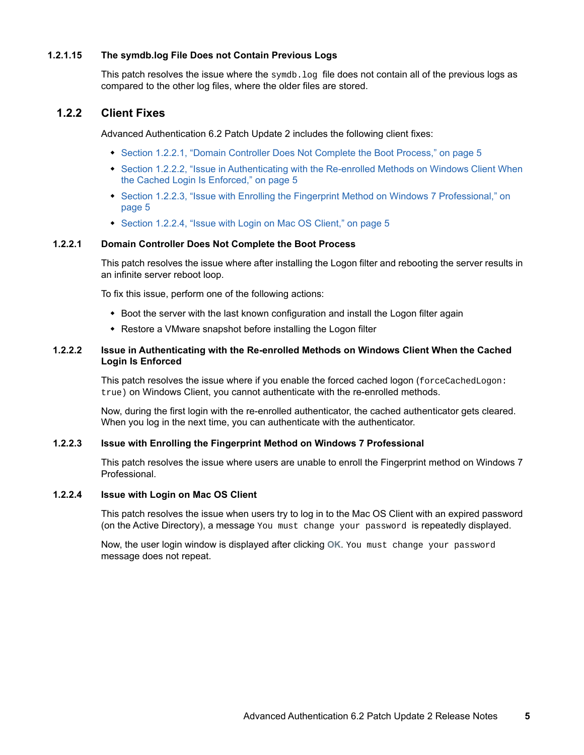#### <span id="page-4-1"></span>**1.2.1.15 The symdb.log File Does not Contain Previous Logs**

This patch resolves the issue where the  $symdb.$   $log$  file does not contain all of the previous logs as compared to the other log files, where the older files are stored.

#### <span id="page-4-0"></span>**1.2.2 Client Fixes**

Advanced Authentication 6.2 Patch Update 2 includes the following client fixes:

- [Section 1.2.2.1, "Domain Controller Does Not Complete the Boot Process," on page 5](#page-4-2)
- [Section 1.2.2.2, "Issue in Authenticating with the Re-enrolled Methods on Windows Client When](#page-4-3)  [the Cached Login Is Enforced," on page 5](#page-4-3)
- [Section 1.2.2.3, "Issue with Enrolling the Fingerprint Method on Windows 7 Professional," on](#page-4-4)  [page 5](#page-4-4)
- [Section 1.2.2.4, "Issue with Login on Mac OS Client," on page 5](#page-4-5)

#### <span id="page-4-2"></span>**1.2.2.1 Domain Controller Does Not Complete the Boot Process**

This patch resolves the issue where after installing the Logon filter and rebooting the server results in an infinite server reboot loop.

To fix this issue, perform one of the following actions:

- Boot the server with the last known configuration and install the Logon filter again
- Restore a VMware snapshot before installing the Logon filter

#### <span id="page-4-3"></span>**1.2.2.2 Issue in Authenticating with the Re-enrolled Methods on Windows Client When the Cached Login Is Enforced**

This patch resolves the issue where if you enable the forced cached logon (forceCachedLogon: true) on Windows Client, you cannot authenticate with the re-enrolled methods.

Now, during the first login with the re-enrolled authenticator, the cached authenticator gets cleared. When you log in the next time, you can authenticate with the authenticator.

#### <span id="page-4-4"></span>**1.2.2.3 Issue with Enrolling the Fingerprint Method on Windows 7 Professional**

This patch resolves the issue where users are unable to enroll the Fingerprint method on Windows 7 Professional.

#### <span id="page-4-5"></span>**1.2.2.4 Issue with Login on Mac OS Client**

This patch resolves the issue when users try to log in to the Mac OS Client with an expired password (on the Active Directory), a message You must change your password is repeatedly displayed.

Now, the user login window is displayed after clicking **OK**. You must change your password message does not repeat.